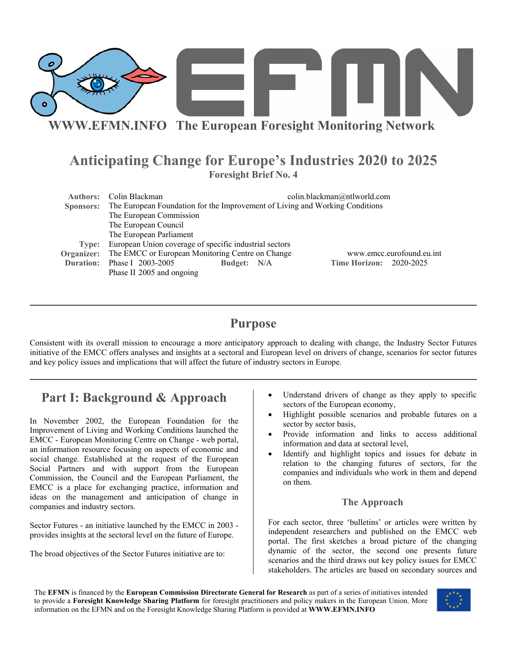

**WWW.EFMN.INFO The European Foresight Monitoring Network**

## **Anticipating Change for Europe's Industries 2020 to 2025 Foresight Brief No. 4**

| Authors:         | Colin Blackman                                                                |             | colin.blackman@ntlworld.com    |  |
|------------------|-------------------------------------------------------------------------------|-------------|--------------------------------|--|
| Sponsors:        | The European Foundation for the Improvement of Living and Working Conditions  |             |                                |  |
|                  | The European Commission                                                       |             |                                |  |
|                  | The European Council                                                          |             |                                |  |
|                  | The European Parliament                                                       |             |                                |  |
| Type:            | European Union coverage of specific industrial sectors                        |             |                                |  |
| Organizer:       | The EMCC or European Monitoring Centre on Change<br>www.emcc.eurofound.eu.int |             |                                |  |
| <b>Duration:</b> | Phase I 2003-2005                                                             | Budget: N/A | <b>Time Horizon: 2020-2025</b> |  |
|                  | Phase II 2005 and ongoing                                                     |             |                                |  |

## **Purpose**

Consistent with its overall mission to encourage a more anticipatory approach to dealing with change, the Industry Sector Futures initiative of the EMCC offers analyses and insights at a sectoral and European level on drivers of change, scenarios for sector futures and key policy issues and implications that will affect the future of industry sectors in Europe.

# **Part I: Background & Approach**

In November 2002, the European Foundation for the Improvement of Living and Working Conditions launched the EMCC - European Monitoring Centre on Change - web portal, an information resource focusing on aspects of economic and social change. Established at the request of the European Social Partners and with support from the European Commission, the Council and the European Parliament, the EMCC is a place for exchanging practice, information and ideas on the management and anticipation of change in companies and industry sectors.

Sector Futures - an initiative launched by the EMCC in 2003 provides insights at the sectoral level on the future of Europe.

The broad objectives of the Sector Futures initiative are to:

- Understand drivers of change as they apply to specific sectors of the European economy,
- Highlight possible scenarios and probable futures on a sector by sector basis,
- Provide information and links to access additional information and data at sectoral level,
- Identify and highlight topics and issues for debate in relation to the changing futures of sectors, for the companies and individuals who work in them and depend on them.

## **The Approach**

For each sector, three 'bulletins' or articles were written by independent researchers and published on the EMCC web portal. The first sketches a broad picture of the changing dynamic of the sector, the second one presents future scenarios and the third draws out key policy issues for EMCC stakeholders. The articles are based on secondary sources and

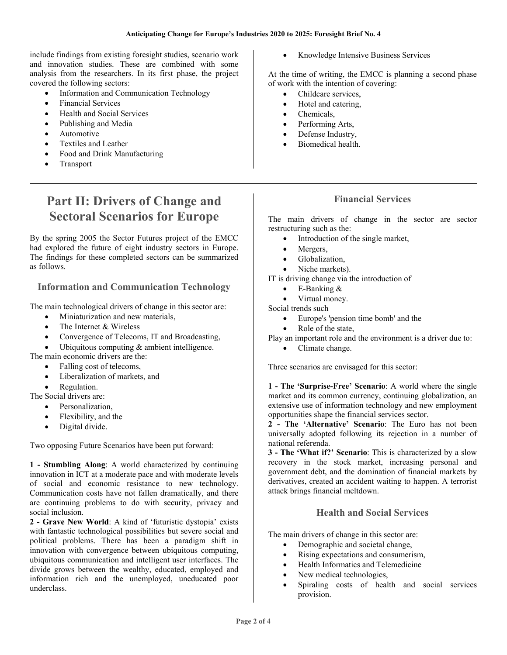include findings from existing foresight studies, scenario work and innovation studies. These are combined with some analysis from the researchers. In its first phase, the project covered the following sectors:

- Information and Communication Technology
- Financial Services
- Health and Social Services
- Publishing and Media
- Automotive
- Textiles and Leather
- Food and Drink Manufacturing
- **Transport**

# **Part II: Drivers of Change and Sectoral Scenarios for Europe**

By the spring 2005 the Sector Futures project of the EMCC had explored the future of eight industry sectors in Europe. The findings for these completed sectors can be summarized as follows.

### **Information and Communication Technology**

The main technological drivers of change in this sector are:

- Miniaturization and new materials,
- The Internet & Wireless
- Convergence of Telecoms, IT and Broadcasting,
- Ubiquitous computing  $&$  ambient intelligence.
- The main economic drivers are the:
	- Falling cost of telecoms,
	- Liberalization of markets, and
	- Regulation.

The Social drivers are:

- Personalization,
- Flexibility, and the
- Digital divide.

Two opposing Future Scenarios have been put forward:

**1 - Stumbling Along**: A world characterized by continuing innovation in ICT at a moderate pace and with moderate levels of social and economic resistance to new technology. Communication costs have not fallen dramatically, and there are continuing problems to do with security, privacy and social inclusion.

**2 - Grave New World**: A kind of 'futuristic dystopia' exists with fantastic technological possibilities but severe social and political problems. There has been a paradigm shift in innovation with convergence between ubiquitous computing, ubiquitous communication and intelligent user interfaces. The divide grows between the wealthy, educated, employed and information rich and the unemployed, uneducated poor underclass.

• Knowledge Intensive Business Services

At the time of writing, the EMCC is planning a second phase of work with the intention of covering:

- Childcare services,
- Hotel and catering,
- Chemicals,
- Performing Arts,
- Defense Industry,
- Biomedical health.

### **Financial Services**

The main drivers of change in the sector are sector restructuring such as the:

- Introduction of the single market,
- Mergers,
- Globalization,
- Niche markets).

IT is driving change via the introduction of

- E-Banking &
- Virtual money.

Social trends such

- Europe's 'pension time bomb' and the
- Role of the state,
- Play an important role and the environment is a driver due to:
	- Climate change.

Three scenarios are envisaged for this sector:

**1 - The 'Surprise-Free' Scenario**: A world where the single market and its common currency, continuing globalization, an extensive use of information technology and new employment opportunities shape the financial services sector.

**2 - The 'Alternative' Scenario**: The Euro has not been universally adopted following its rejection in a number of national referenda.

**3 - The 'What if?' Scenario**: This is characterized by a slow recovery in the stock market, increasing personal and government debt, and the domination of financial markets by derivatives, created an accident waiting to happen. A terrorist attack brings financial meltdown.

#### **Health and Social Services**

The main drivers of change in this sector are:

- Demographic and societal change,
- Rising expectations and consumerism,
- Health Informatics and Telemedicine
- New medical technologies,
- Spiraling costs of health and social services provision.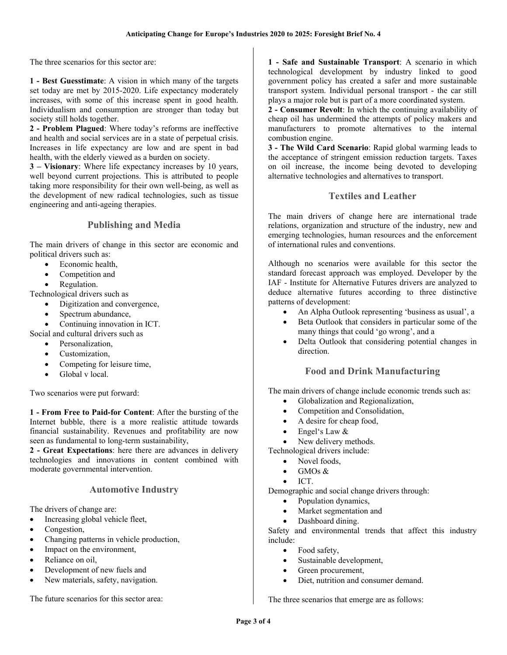The three scenarios for this sector are:

**1 - Best Guesstimate**: A vision in which many of the targets set today are met by 2015-2020. Life expectancy moderately increases, with some of this increase spent in good health. Individualism and consumption are stronger than today but society still holds together.

**2 - Problem Plagued**: Where today's reforms are ineffective and health and social services are in a state of perpetual crisis. Increases in life expectancy are low and are spent in bad health, with the elderly viewed as a burden on society.

**3 – Visionary**: Where life expectancy increases by 10 years, well beyond current projections. This is attributed to people taking more responsibility for their own well-being, as well as the development of new radical technologies, such as tissue engineering and anti-ageing therapies.

#### **Publishing and Media**

The main drivers of change in this sector are economic and political drivers such as:

- Economic health,
- Competition and
- Regulation.

Technological drivers such as

- Digitization and convergence,
- Spectrum abundance,
- Continuing innovation in ICT.

Social and cultural drivers such as

- Personalization,
- Customization,
- Competing for leisure time,
- Global v local.

Two scenarios were put forward:

**1 - From Free to Paid-for Content**: After the bursting of the Internet bubble, there is a more realistic attitude towards financial sustainability. Revenues and profitability are now seen as fundamental to long-term sustainability,

**2 - Great Expectations**: here there are advances in delivery technologies and innovations in content combined with moderate governmental intervention.

#### **Automotive Industry**

The drivers of change are:

- Increasing global vehicle fleet,
- Congestion,
- Changing patterns in vehicle production,
- Impact on the environment,
- Reliance on oil.
- Development of new fuels and
- New materials, safety, navigation.

The future scenarios for this sector area:

**1 - Safe and Sustainable Transport**: A scenario in which technological development by industry linked to good government policy has created a safer and more sustainable transport system. Individual personal transport - the car still plays a major role but is part of a more coordinated system.

**2 - Consumer Revolt**: In which the continuing availability of cheap oil has undermined the attempts of policy makers and manufacturers to promote alternatives to the internal combustion engine.

**3 - The Wild Card Scenario**: Rapid global warming leads to the acceptance of stringent emission reduction targets. Taxes on oil increase, the income being devoted to developing alternative technologies and alternatives to transport.

#### **Textiles and Leather**

The main drivers of change here are international trade relations, organization and structure of the industry, new and emerging technologies, human resources and the enforcement of international rules and conventions.

Although no scenarios were available for this sector the standard forecast approach was employed. Developer by the IAF - Institute for Alternative Futures drivers are analyzed to deduce alternative futures according to three distinctive patterns of development:

- An Alpha Outlook representing 'business as usual', a
- Beta Outlook that considers in particular some of the many things that could 'go wrong', and a
- Delta Outlook that considering potential changes in direction.

### **Food and Drink Manufacturing**

The main drivers of change include economic trends such as:

- Globalization and Regionalization,
- Competition and Consolidation,
- A desire for cheap food,
- Engel's Law &
- New delivery methods.
- Technological drivers include:
	- Novel foods.
	- GMOs  $&$
	- ICT.

Demographic and social change drivers through:

- Population dynamics,
- Market segmentation and
- Dashboard dining.

Safety and environmental trends that affect this industry include:

- Food safety,
- Sustainable development,
- Green procurement.
- Diet, nutrition and consumer demand.

The three scenarios that emerge are as follows: